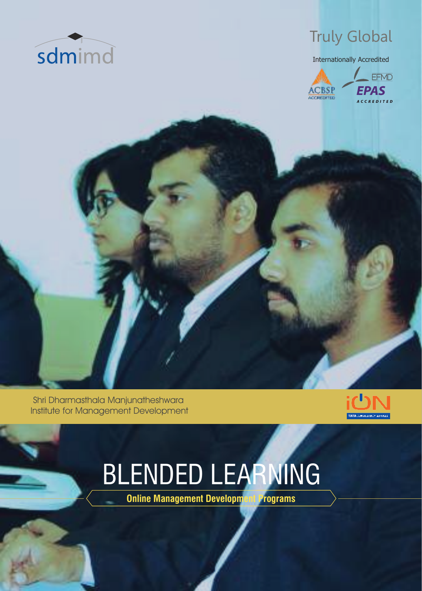

## Truly Global

Internationally Accredited



 Shri Dharmasthala Manjunatheshwara Institute for Management Development



# BLENDED LEARNING

**Online Management Development Programs**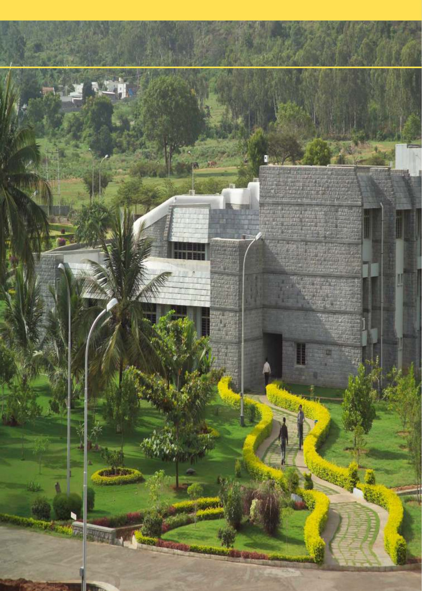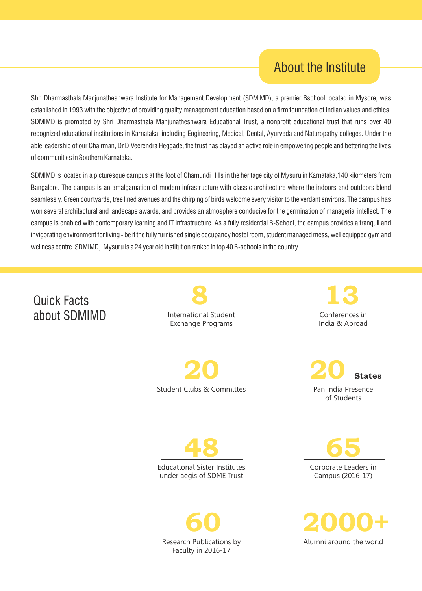## About the Institute

Shri Dharmasthala Manjunatheshwara Institute for Management Development (SDMIMD), a premier Bschool located in Mysore, was established in 1993 with the objective of providing quality management education based on a firm foundation of Indian values and ethics. SDMIMD is promoted by Shri Dharmasthala Manjunatheshwara Educational Trust, a nonprofit educational trust that runs over 40 recognized educational institutions in Karnataka, including Engineering, Medical, Dental, Ayurveda and Naturopathy colleges. Under the able leadership of our Chairman, Dr.D.Veerendra Heggade, the trust has played an active role in empowering people and bettering the lives of communities in Southern Karnataka.

SDMIMD is located in a picturesque campus at the foot of Chamundi Hills in the heritage city of Mysuru in Karnataka,140 kilometers from Bangalore. The campus is an amalgamation of modern infrastructure with classic architecture where the indoors and outdoors blend seamlessly. Green courtyards, tree lined avenues and the chirping of birds welcome every visitor to the verdant environs. The campus has won several architectural and landscape awards, and provides an atmosphere conducive for the germination of managerial intellect. The campus is enabled with contemporary learning and IT infrastructure. As a fully residential B-School, the campus provides a tranquil and invigorating environment for living - be it the fully furnished single occupancy hostel room, student managed mess, well equipped gym and wellness centre. SDMIMD, Mysuru is a 24 year old Institution ranked in top 40 B-schools in the country.

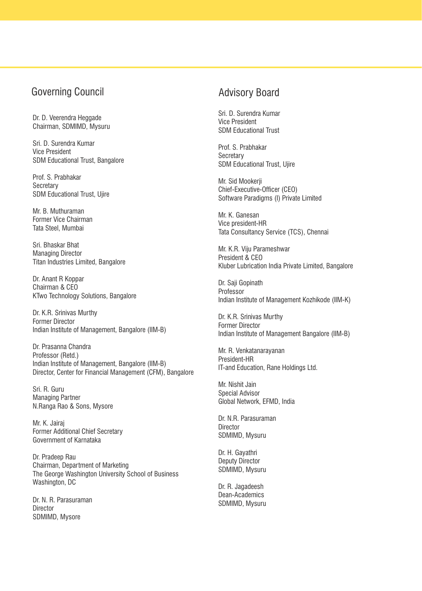## Governing Council **Advisory Board Advisory Board**

Dr. D. Veerendra Heggade Chairman, SDMIMD, Mysuru

Sri. D. Surendra Kumar Vice President SDM Educational Trust, Bangalore

Prof. S. Prabhakar **Secretary** SDM Educational Trust, Ujire

Mr. B. Muthuraman Former Vice Chairman Tata Steel, Mumbai

Sri. Bhaskar Bhat Managing Director Titan Industries Limited, Bangalore

Dr. Anant R Koppar Chairman & CEO KTwo Technology Solutions, Bangalore

Dr. K.R. Srinivas Murthy Former Director Indian Institute of Management, Bangalore (IIM-B)

Dr. Prasanna Chandra Professor (Retd.) Indian Institute of Management, Bangalore (IIM-B) Director, Center for Financial Management (CFM), Bangalore

Sri. R. Guru Managing Partner N.Ranga Rao & Sons, Mysore

Mr. K. Jairaj Former Additional Chief Secretary Government of Karnataka

Dr. Pradeep Rau Chairman, Department of Marketing The George Washington University School of Business Washington, DC

Dr. N. R. Parasuraman Director SDMIMD, Mysore

Sri. D. Surendra Kumar Vice President SDM Educational Trust

Prof. S. Prabhakar **Secretary** SDM Educational Trust, Ujire

Mr. Sid Mookerji Chief-Executive-Officer (CEO) Software Paradigms (I) Private Limited

Mr. K. Ganesan Vice president-HR Tata Consultancy Service (TCS), Chennai

Mr. K.R. Viju Parameshwar President & CEO Kluber Lubrication India Private Limited, Bangalore

Dr. Saji Gopinath Professor Indian Institute of Management Kozhikode (IIM-K)

Dr. K.R. Srinivas Murthy Former Director Indian Institute of Management Bangalore (IIM-B)

Mr. R. Venkatanarayanan President-HR IT-and Education, Rane Holdings Ltd.

Mr. Nishit Jain Special Advisor Global Network, EFMD, India

Dr. N.R. Parasuraman Director SDMIMD, Mysuru

Dr. H. Gayathri Deputy Director SDMIMD, Mysuru

Dr. R. Jagadeesh Dean-Academics SDMIMD, Mysuru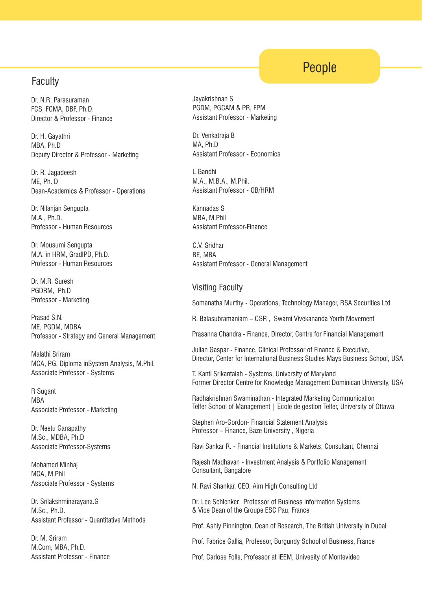## People

## **Faculty**

Dr. N.R. Parasuraman FCS, FCMA, DBF, Ph.D. Director & Professor - Finance

Dr. H. Gayathri MBA, Ph.D Deputy Director & Professor - Marketing

Dr. R. Jagadeesh ME, Ph. D Dean-Academics & Professor - Operations

Dr. Nilanjan Sengupta M.A., Ph.D. Professor - Human Resources

Dr. Mousumi Sengupta M.A. in HRM, GradIPD, Ph.D. Professor - Human Resources

Dr. M.R. Suresh PGDRM, Ph.D Professor - Marketing

Prasad S.N. ME, PGDM, MDBA Professor - Strategy and General Management

Malathi Sriram MCA, P.G. Diploma inSystem Analysis, M.Phil. Associate Professor - Systems

R Sugant MBA Associate Professor - Marketing

Dr. Neetu Ganapathy M.Sc., MDBA, Ph.D Associate Professor-Systems

Mohamed Minhaj MCA, M.Phil Associate Professor - Systems

Dr. Srilakshminarayana.G M.Sc., Ph.D. Assistant Professor - Quantitative Methods

Dr. M. Sriram M.Com, MBA, Ph.D. Assistant Professor - Finance Jayakrishnan S PGDM, PGCAM & PR, FPM Assistant Professor - Marketing

Dr. Venkatraja B MA, Ph.D Assistant Professor - Economics

L Gandhi M.A., M.B.A., M.Phil. Assistant Professor - OB/HRM

Kannadas S MBA, M.Phil Assistant Professor-Finance

C.V. Sridhar BE, MBA Assistant Professor - General Management

## Visiting Faculty

Somanatha Murthy - Operations, Technology Manager, RSA Securities Ltd

R. Balasubramaniam – CSR , Swami Vivekananda Youth Movement

Prasanna Chandra - Finance, Director, Centre for Financial Management

Julian Gaspar - Finance, Clinical Professor of Finance & Executive, Director, Center for International Business Studies Mays Business School, USA

T. Kanti Srikantaiah - Systems, University of Maryland Former Director Centre for Knowledge Management Dominican University, USA

Radhakrishnan Swaminathan - Integrated Marketing Communication Telfer School of Management | Ecole de gestion Telfer, University of Ottawa

Stephen Aro-Gordon- Financial Statement Analysis Professor – Finance, Baze University , Nigeria

Ravi Sankar R. - Financial Institutions & Markets, Consultant, Chennai

Rajesh Madhavan - Investment Analysis & Portfolio Management Consultant, Bangalore

N. Ravi Shankar, CEO, Aim High Consulting Ltd

Dr. Lee Schlenker, Professor of Business Information Systems & Vice Dean of the Groupe ESC Pau, France

Prof. Ashly Pinnington, Dean of Research, The British University in Dubai

Prof. Fabrice Gallia, Professor, Burgundy School of Business, France

Prof. Carlose Folle, Professor at IEEM, Univesity of Montevideo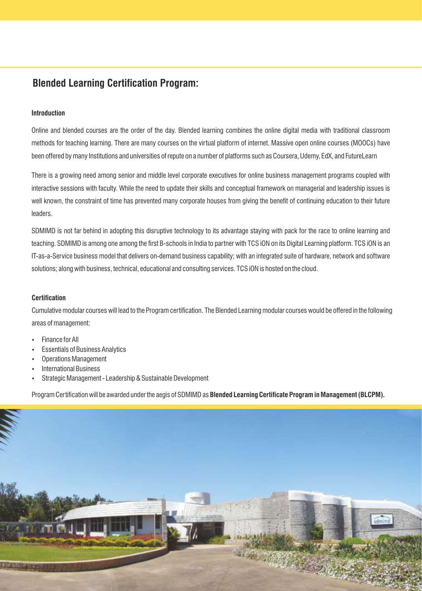## **Blended Learning Certification Program:**

## **Introduction**

Online and blended courses are the order of the day. Blended learning combines the online digital media with traditional classroom methods for teaching learning. There are many courses on the virtual platform of internet. Massive open online courses (MOOCs) have been offered by many Institutions and universities of repute on a number of platforms such as Coursera, Udemy, EdX, and FutureLearn

There is a growing need among senior and middle level corporate executives for online business management programs coupled with interactive sessions with faculty. While the need to update their skills and conceptual framework on managerial and leadership issues is well known, the constraint of time has prevented many corporate houses from giving the benefit of continuing education to their future leaders.

SDMIMD is not far behind in adopting this disruptive technology to its advantage staying with pack for the race to online learning and teaching. SDMIMD is among one among the first B-schools in India to partner with TCS iON on its Digital Learning platform. TCS iON is an IT-as-a-Service business model that delivers on-demand business capability; with an integrated suite of hardware, network and software solutions; along with business, technical, educational and consulting services. TCS iON is hosted on the cloud.

#### **Certification**

Cumulative modular courses will lead to the Program certification. The Blended Learning modular courses would be offered in the following areas of management:

- Finance for All
- **Essentials of Business Analytics**
- Operations Management
- **International Business**
- Strategic Management Leadership & Sustainable Development

Program Certification will be awarded under the aegis of SDMIMD as **Blended Learning Certificate Program in Management (BLCPM).**

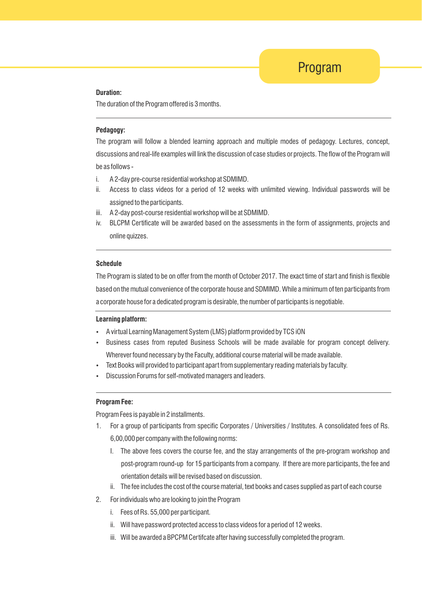#### **Duration:**

The duration of the Program offered is 3 months.

### **Pedagogy:**

The program will follow a blended learning approach and multiple modes of pedagogy. Lectures, concept, discussions and real-life examples will link the discussion of case studies or projects. The flow of the Program will be as follows -

- i. A 2-day pre-course residential workshop at SDMIMD.
- ii. Access to class videos for a period of 12 weeks with unlimited viewing. Individual passwords will be assigned to the participants.
- iii. A 2-day post-course residential workshop will be at SDMIMD.
- iv. BLCPM Certificate will be awarded based on the assessments in the form of assignments, projects and online quizzes.

#### **Schedule**

The Program is slated to be on offer from the month of October 2017. The exact time of start and finish is flexible based on the mutual convenience of the corporate house and SDMIMD. While a minimum of ten participants from a corporate house for a dedicated program is desirable, the number of participants is negotiable.

#### **Learning platform:**

- A virtual Learning Management System (LMS) platform provided by TCS iON
- Business cases from reputed Business Schools will be made available for program concept delivery. Wherever found necessary by the Faculty, additional course material will be made available.
- Text Books will provided to participant apart from supplementary reading materials by faculty.
- Discussion Forums for self-motivated managers and leaders.

## **Program Fee:**

Program Fees is payable in 2 installments.

- 1. For a group of participants from specific Corporates / Universities / Institutes. A consolidated fees of Rs. 6,00,000 per company with the following norms:
	- I. The above fees covers the course fee, and the stay arrangements of the pre-program workshop and post-program round-up for 15 participants from a company. If there are more participants, the fee and orientation details will be revised based on discussion.
	- ii. The fee includes the cost of the course material, text books and cases supplied as part of each course
- 2. For individuals who are looking to join the Program
	- i. Fees of Rs. 55,000 per participant.
	- ii. Will have password protected access to class videos for a period of 12 weeks.
	- iii. Will be awarded a BPCPM Certifcate after having successfully completed the program.